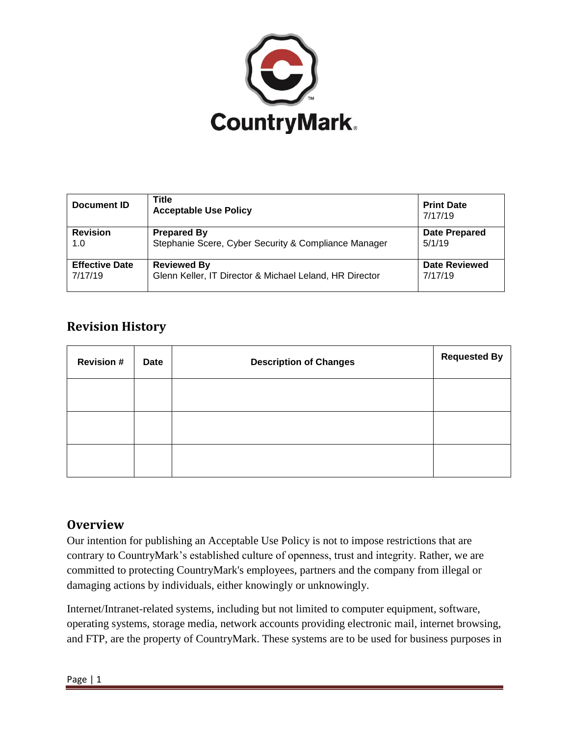

| Document ID           | Title<br><b>Acceptable Use Policy</b>                   | <b>Print Date</b><br>7/17/19 |
|-----------------------|---------------------------------------------------------|------------------------------|
| <b>Revision</b>       | <b>Prepared By</b>                                      | Date Prepared                |
| 1.0                   | Stephanie Scere, Cyber Security & Compliance Manager    | 5/1/19                       |
| <b>Effective Date</b> | <b>Reviewed By</b>                                      | <b>Date Reviewed</b>         |
| 7/17/19               | Glenn Keller, IT Director & Michael Leland, HR Director | 7/17/19                      |

# **Revision History**

| <b>Revision#</b> | Date | <b>Description of Changes</b> | <b>Requested By</b> |
|------------------|------|-------------------------------|---------------------|
|                  |      |                               |                     |
|                  |      |                               |                     |
|                  |      |                               |                     |

# **Overview**

Our intention for publishing an Acceptable Use Policy is not to impose restrictions that are contrary to CountryMark's established culture of openness, trust and integrity. Rather, we are committed to protecting CountryMark's employees, partners and the company from illegal or damaging actions by individuals, either knowingly or unknowingly.

Internet/Intranet-related systems, including but not limited to computer equipment, software, operating systems, storage media, network accounts providing electronic mail, internet browsing, and FTP, are the property of CountryMark. These systems are to be used for business purposes in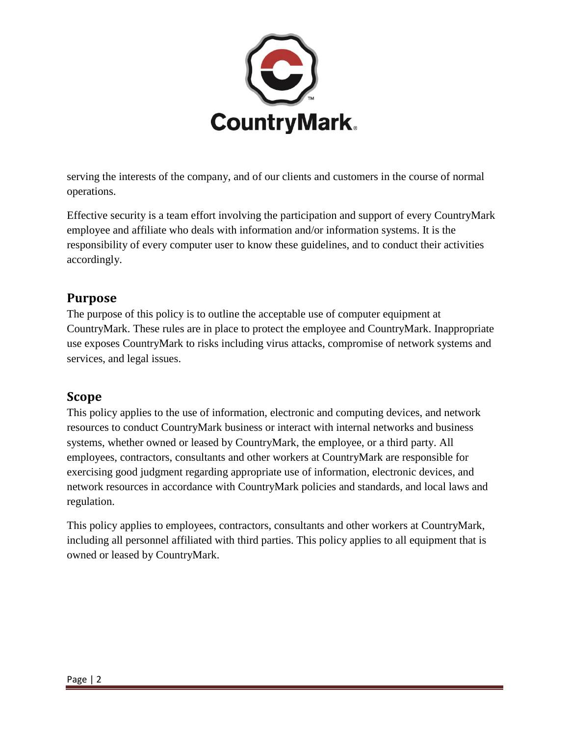

serving the interests of the company, and of our clients and customers in the course of normal operations.

Effective security is a team effort involving the participation and support of every CountryMark employee and affiliate who deals with information and/or information systems. It is the responsibility of every computer user to know these guidelines, and to conduct their activities accordingly.

# **Purpose**

The purpose of this policy is to outline the acceptable use of computer equipment at CountryMark. These rules are in place to protect the employee and CountryMark. Inappropriate use exposes CountryMark to risks including virus attacks, compromise of network systems and services, and legal issues.

# **Scope**

This policy applies to the use of information, electronic and computing devices, and network resources to conduct CountryMark business or interact with internal networks and business systems, whether owned or leased by CountryMark, the employee, or a third party. All employees, contractors, consultants and other workers at CountryMark are responsible for exercising good judgment regarding appropriate use of information, electronic devices, and network resources in accordance with CountryMark policies and standards, and local laws and regulation.

This policy applies to employees, contractors, consultants and other workers at CountryMark, including all personnel affiliated with third parties. This policy applies to all equipment that is owned or leased by CountryMark.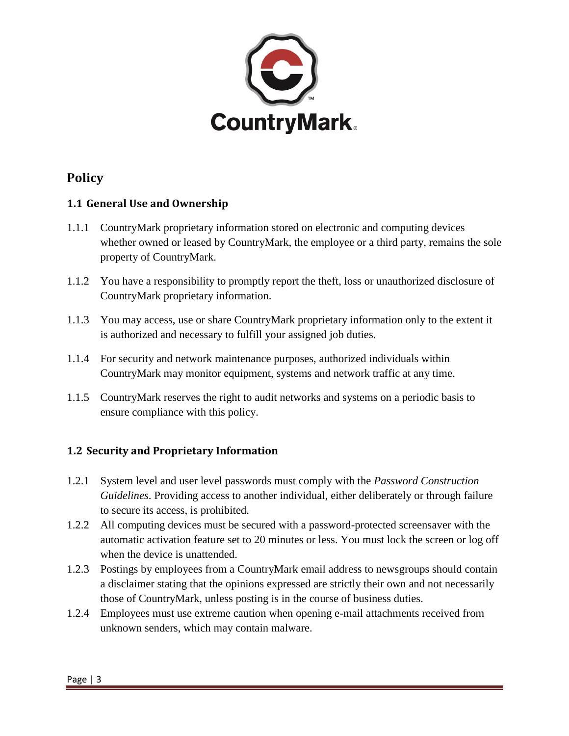

# **Policy**

### **1.1 General Use and Ownership**

- 1.1.1 CountryMark proprietary information stored on electronic and computing devices whether owned or leased by CountryMark, the employee or a third party, remains the sole property of CountryMark*.*
- 1.1.2 You have a responsibility to promptly report the theft, loss or unauthorized disclosure of CountryMark proprietary information.
- 1.1.3 You may access, use or share CountryMark proprietary information only to the extent it is authorized and necessary to fulfill your assigned job duties.
- 1.1.4 For security and network maintenance purposes, authorized individuals within CountryMark may monitor equipment, systems and network traffic at any time.
- 1.1.5 CountryMark reserves the right to audit networks and systems on a periodic basis to ensure compliance with this policy.

## **1.2 Security and Proprietary Information**

- 1.2.1 System level and user level passwords must comply with the *Password Construction Guidelines*. Providing access to another individual, either deliberately or through failure to secure its access, is prohibited.
- 1.2.2 All computing devices must be secured with a password-protected screensaver with the automatic activation feature set to 20 minutes or less. You must lock the screen or log off when the device is unattended.
- 1.2.3 Postings by employees from a CountryMark email address to newsgroups should contain a disclaimer stating that the opinions expressed are strictly their own and not necessarily those of CountryMark, unless posting is in the course of business duties.
- 1.2.4 Employees must use extreme caution when opening e-mail attachments received from unknown senders, which may contain malware.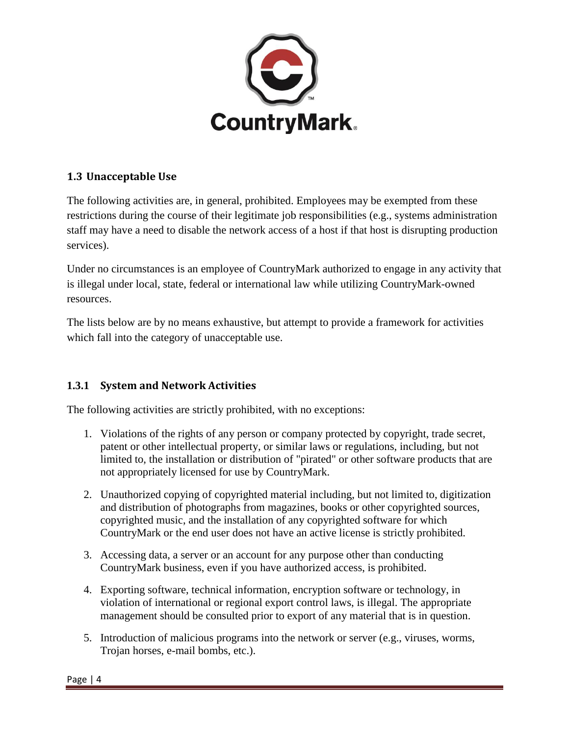

#### **1.3 Unacceptable Use**

The following activities are, in general, prohibited. Employees may be exempted from these restrictions during the course of their legitimate job responsibilities (e.g., systems administration staff may have a need to disable the network access of a host if that host is disrupting production services).

Under no circumstances is an employee of CountryMark authorized to engage in any activity that is illegal under local, state, federal or international law while utilizing CountryMark-owned resources.

The lists below are by no means exhaustive, but attempt to provide a framework for activities which fall into the category of unacceptable use.

#### **1.3.1 System and Network Activities**

The following activities are strictly prohibited, with no exceptions:

- 1. Violations of the rights of any person or company protected by copyright, trade secret, patent or other intellectual property, or similar laws or regulations, including, but not limited to, the installation or distribution of "pirated" or other software products that are not appropriately licensed for use by CountryMark.
- 2. Unauthorized copying of copyrighted material including, but not limited to, digitization and distribution of photographs from magazines, books or other copyrighted sources, copyrighted music, and the installation of any copyrighted software for which CountryMark or the end user does not have an active license is strictly prohibited.
- 3. Accessing data, a server or an account for any purpose other than conducting CountryMark business, even if you have authorized access, is prohibited.
- 4. Exporting software, technical information, encryption software or technology, in violation of international or regional export control laws, is illegal. The appropriate management should be consulted prior to export of any material that is in question.
- 5. Introduction of malicious programs into the network or server (e.g., viruses, worms, Trojan horses, e-mail bombs, etc.).

Page | 4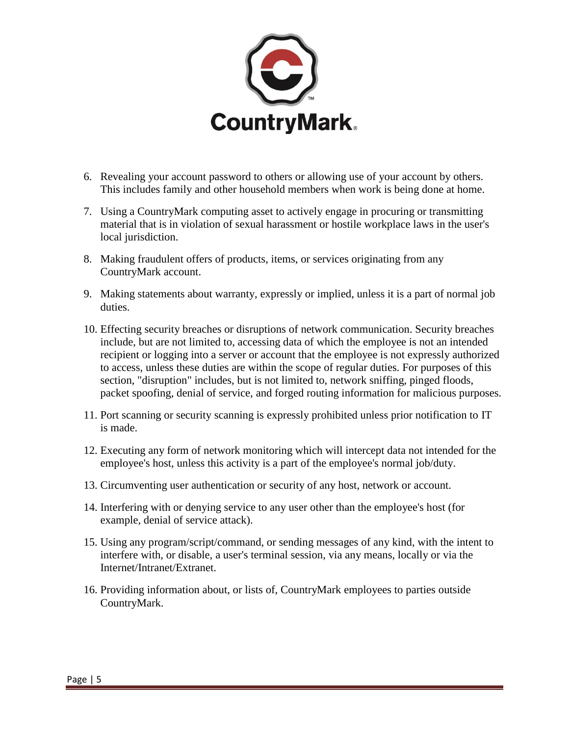

- 6. Revealing your account password to others or allowing use of your account by others. This includes family and other household members when work is being done at home.
- 7. Using a CountryMark computing asset to actively engage in procuring or transmitting material that is in violation of sexual harassment or hostile workplace laws in the user's local jurisdiction.
- 8. Making fraudulent offers of products, items, or services originating from any CountryMark account.
- 9. Making statements about warranty, expressly or implied, unless it is a part of normal job duties.
- 10. Effecting security breaches or disruptions of network communication. Security breaches include, but are not limited to, accessing data of which the employee is not an intended recipient or logging into a server or account that the employee is not expressly authorized to access, unless these duties are within the scope of regular duties. For purposes of this section, "disruption" includes, but is not limited to, network sniffing, pinged floods, packet spoofing, denial of service, and forged routing information for malicious purposes.
- 11. Port scanning or security scanning is expressly prohibited unless prior notification to IT is made.
- 12. Executing any form of network monitoring which will intercept data not intended for the employee's host, unless this activity is a part of the employee's normal job/duty.
- 13. Circumventing user authentication or security of any host, network or account.
- 14. Interfering with or denying service to any user other than the employee's host (for example, denial of service attack).
- 15. Using any program/script/command, or sending messages of any kind, with the intent to interfere with, or disable, a user's terminal session, via any means, locally or via the Internet/Intranet/Extranet.
- 16. Providing information about, or lists of, CountryMark employees to parties outside CountryMark.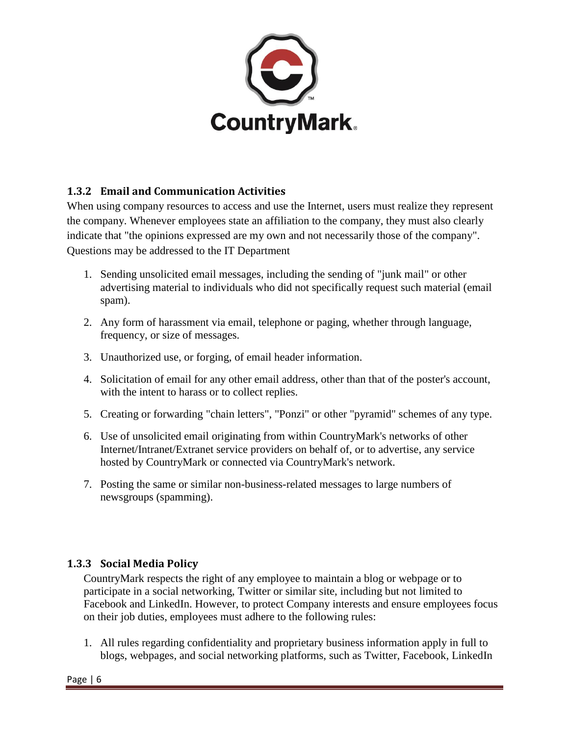

### **1.3.2 Email and Communication Activities**

When using company resources to access and use the Internet, users must realize they represent the company. Whenever employees state an affiliation to the company, they must also clearly indicate that "the opinions expressed are my own and not necessarily those of the company". Questions may be addressed to the IT Department

- 1. Sending unsolicited email messages, including the sending of "junk mail" or other advertising material to individuals who did not specifically request such material (email spam).
- 2. Any form of harassment via email, telephone or paging, whether through language, frequency, or size of messages.
- 3. Unauthorized use, or forging, of email header information.
- 4. Solicitation of email for any other email address, other than that of the poster's account, with the intent to harass or to collect replies.
- 5. Creating or forwarding "chain letters", "Ponzi" or other "pyramid" schemes of any type.
- 6. Use of unsolicited email originating from within CountryMark's networks of other Internet/Intranet/Extranet service providers on behalf of, or to advertise, any service hosted by CountryMark or connected via CountryMark's network.
- 7. Posting the same or similar non-business-related messages to large numbers of newsgroups (spamming).

#### **1.3.3 Social Media Policy**

CountryMark respects the right of any employee to maintain a blog or webpage or to participate in a social networking, Twitter or similar site, including but not limited to Facebook and LinkedIn. However, to protect Company interests and ensure employees focus on their job duties, employees must adhere to the following rules:

1. All rules regarding confidentiality and proprietary business information apply in full to blogs, webpages, and social networking platforms, such as Twitter, Facebook, LinkedIn